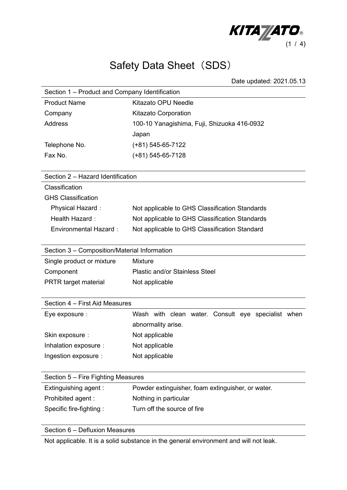

## Safety Data Sheet (SDS)

Date updated: 2021.05.13

| Section 1 – Product and Company Identification |                                                    |  |
|------------------------------------------------|----------------------------------------------------|--|
| <b>Product Name</b>                            | <b>Kitazato OPU Needle</b>                         |  |
| Company                                        | <b>Kitazato Corporation</b>                        |  |
| <b>Address</b>                                 | 100-10 Yanagishima, Fuji, Shizuoka 416-0932        |  |
|                                                | Japan                                              |  |
| Telephone No.                                  | (+81) 545-65-7122                                  |  |
| Fax No.                                        | $(+81)$ 545-65-7128                                |  |
|                                                |                                                    |  |
| Section 2 - Hazard Identification              |                                                    |  |
| Classification                                 |                                                    |  |
| <b>GHS Classification</b>                      |                                                    |  |
| Physical Hazard:                               | Not applicable to GHS Classification Standards     |  |
| Health Hazard:                                 | Not applicable to GHS Classification Standards     |  |
| <b>Environmental Hazard:</b>                   | Not applicable to GHS Classification Standard      |  |
|                                                |                                                    |  |
| Section 3 - Composition/Material Information   |                                                    |  |
| Single product or mixture                      | Mixture                                            |  |
| Component                                      | <b>Plastic and/or Stainless Steel</b>              |  |
| <b>PRTR target material</b>                    | Not applicable                                     |  |
|                                                |                                                    |  |
| Section 4 – First Aid Measures                 |                                                    |  |
| Eye exposure :                                 | Wash with clean water. Consult eye specialist when |  |
|                                                | abnormality arise.                                 |  |
| Skin exposure :                                | Not applicable                                     |  |
| Inhalation exposure :                          | Not applicable                                     |  |
| Ingestion exposure :                           | Not applicable                                     |  |
|                                                |                                                    |  |
| Section 5 - Fire Fighting Measures             |                                                    |  |
| Extinguishing agent:                           | Powder extinguisher, foam extinguisher, or water.  |  |
| Prohibited agent:                              | Nothing in particular                              |  |
| Specific fire-fighting:                        | Turn off the source of fire                        |  |
|                                                |                                                    |  |

Section 6 – Defluxion Measures

Not applicable. It is a solid substance in the general environment and will not leak.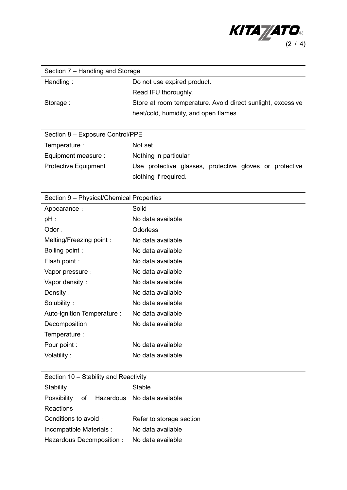

| Section 7 – Handling and Storage |                                                             |  |
|----------------------------------|-------------------------------------------------------------|--|
| Handling:                        | Do not use expired product.                                 |  |
|                                  | Read IFU thoroughly.                                        |  |
| Storage:                         | Store at room temperature. Avoid direct sunlight, excessive |  |
|                                  | heat/cold, humidity, and open flames.                       |  |

| Section 8 - Exposure Control/PPE |                                                                                  |  |
|----------------------------------|----------------------------------------------------------------------------------|--|
| Temperature :                    | Not set                                                                          |  |
| Equipment measure :              | Nothing in particular                                                            |  |
| <b>Protective Equipment</b>      | Use protective glasses, protective gloves or protective<br>clothing if required. |  |

| Section 9 – Physical/Chemical Properties |                   |  |
|------------------------------------------|-------------------|--|
| Appearance :                             | Solid             |  |
| $pH$ :                                   | No data available |  |
| Odor:                                    | <b>Odorless</b>   |  |
| Melting/Freezing point:                  | No data available |  |
| Boiling point:                           | No data available |  |
| Flash point:                             | No data available |  |
| Vapor pressure :                         | No data available |  |
| Vapor density:                           | No data available |  |
| Density:                                 | No data available |  |
| Solubility:                              | No data available |  |
| Auto-ignition Temperature :              | No data available |  |
| Decomposition                            | No data available |  |
| Temperature :                            |                   |  |
| Pour point :                             | No data available |  |
| Volatility:                              | No data available |  |
|                                          |                   |  |

Section 10 – Stability and Reactivity

| Stability:                |  | Stable                         |
|---------------------------|--|--------------------------------|
| Possibility               |  | of Hazardous No data available |
| Reactions                 |  |                                |
| Conditions to avoid:      |  | Refer to storage section       |
| Incompatible Materials :  |  | No data available              |
| Hazardous Decomposition : |  | No data available              |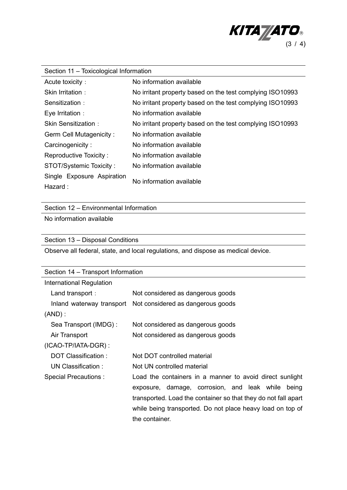

| Section 11 - Toxicological Information |                                                           |  |
|----------------------------------------|-----------------------------------------------------------|--|
| Acute toxicity:                        | No information available                                  |  |
| Skin Irritation:                       | No irritant property based on the test complying ISO10993 |  |
| Sensitization:                         | No irritant property based on the test complying ISO10993 |  |
| Eye Irritation :                       | No information available                                  |  |
| Skin Sensitization :                   | No irritant property based on the test complying ISO10993 |  |
| Germ Cell Mutagenicity:                | No information available                                  |  |
| Carcinogenicity:                       | No information available                                  |  |
| Reproductive Toxicity:                 | No information available                                  |  |
| <b>STOT/Systemic Toxicity:</b>         | No information available                                  |  |
| Single Exposure Aspiration             | No information available                                  |  |
| Hazard :                               |                                                           |  |

Section 12 – Environmental Information

No information available

Section 13 – Disposal Conditions

Observe all federal, state, and local regulations, and dispose as medical device.

| Section 14 – Transport Information |                                                                |  |
|------------------------------------|----------------------------------------------------------------|--|
| International Regulation           |                                                                |  |
| Land transport:                    | Not considered as dangerous goods                              |  |
| Inland waterway transport          | Not considered as dangerous goods                              |  |
| $(AND)$ :                          |                                                                |  |
| Sea Transport (IMDG) :             | Not considered as dangerous goods                              |  |
| Air Transport                      | Not considered as dangerous goods                              |  |
| $(ICAO-TP/IATA-DGR)$ :             |                                                                |  |
| DOT Classification:                | Not DOT controlled material                                    |  |
| UN Classification:                 | Not UN controlled material                                     |  |
| Special Precautions :              | Load the containers in a manner to avoid direct sunlight       |  |
|                                    | exposure, damage, corrosion, and leak while<br>being           |  |
|                                    | transported. Load the container so that they do not fall apart |  |
|                                    | while being transported. Do not place heavy load on top of     |  |
|                                    | the container.                                                 |  |